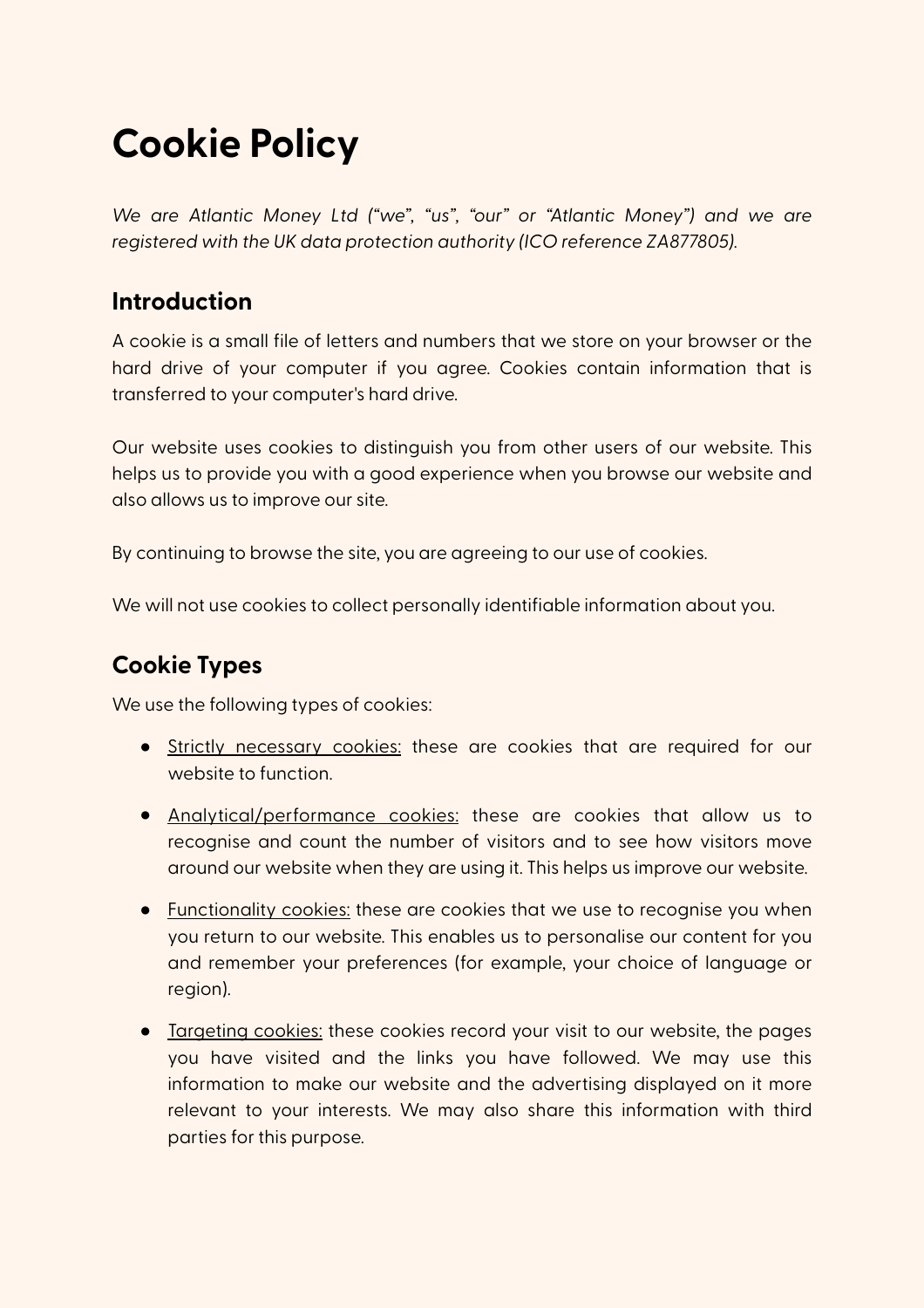# **Cookie Policy**

*We are Atlantic Money Ltd ("we", "us", "our" or "Atlantic Money") and we are registered with the UK data protection authority (ICO reference ZA877805).*

#### **Introduction**

A cookie is a small file of letters and numbers that we store on your browser or the hard drive of your computer if you agree. Cookies contain information that is transferred to your computer's hard drive.

Our website uses cookies to distinguish you from other users of our website. This helps us to provide you with a good experience when you browse our website and also allows us to improve our site.

By continuing to browse the site, you are agreeing to our use of cookies.

We will not use cookies to collect personally identifiable information about you.

## **Cookie Types**

We use the following types of cookies:

- Strictly necessary cookies: these are cookies that are required for our website to function.
- Analytical/performance cookies: these are cookies that allow us to recognise and count the number of visitors and to see how visitors move around our website when they are using it. This helps us improve our website.
- Functionality cookies: these are cookies that we use to recognise you when you return to our website. This enables us to personalise our content for you and remember your preferences (for example, your choice of language or region).
- Targeting cookies: these cookies record your visit to our website, the pages you have visited and the links you have followed. We may use this information to make our website and the advertising displayed on it more relevant to your interests. We may also share this information with third parties for this purpose.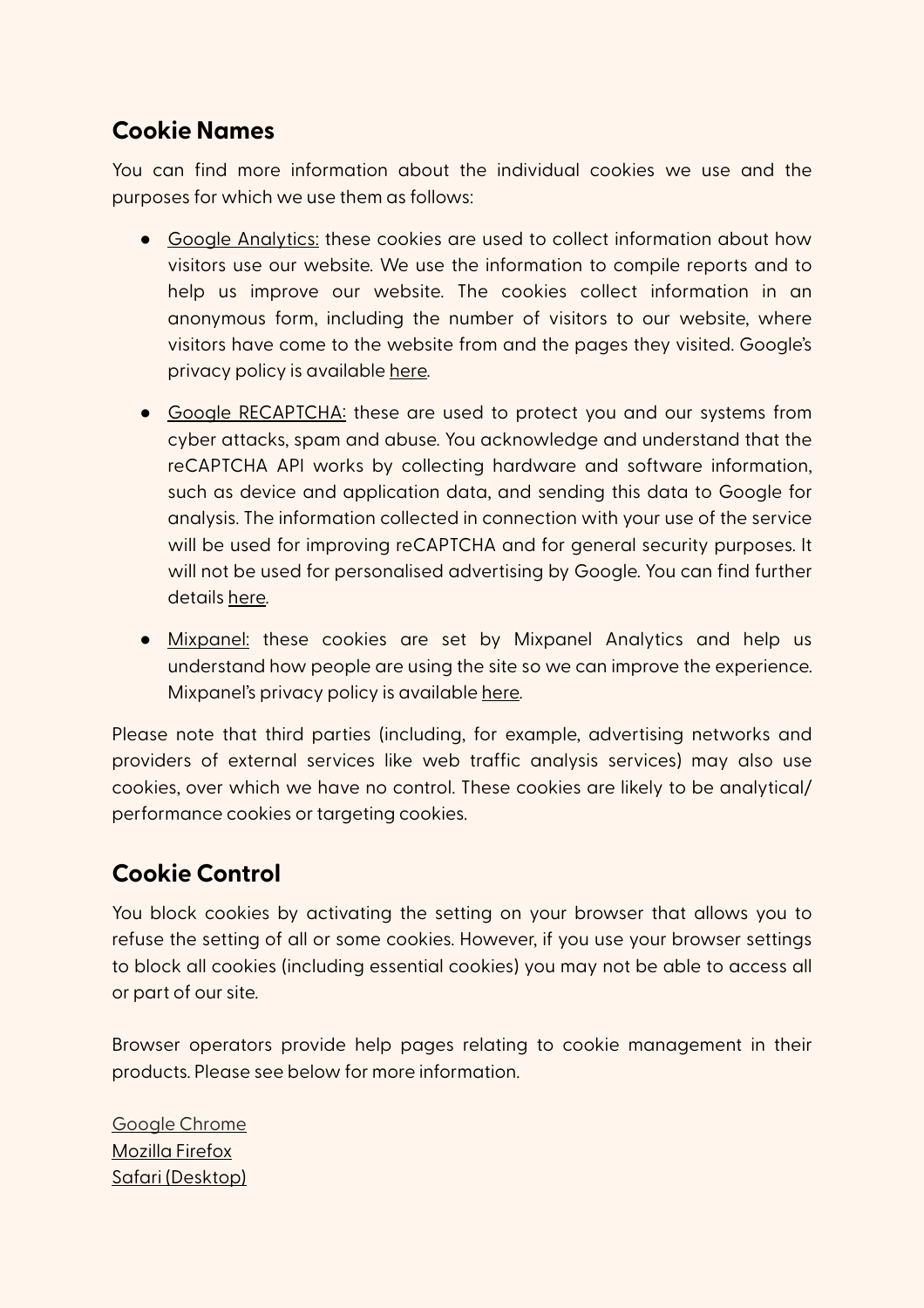#### **Cookie Names**

You can find more information about the individual cookies we use and the purposes for which we use them as follows:

- Google Analytics: these cookies are used to collect information about how visitors use our website. We use the information to compile reports and to help us improve our website. The cookies collect information in an anonymous form, including the number of visitors to our website, where visitors have come to the website from and the pages they visited. Google's privacy policy is available [here.](http://www.google.com/policies/privacy/)
- Google RECAPTCHA: these are used to protect you and our systems from cyber attacks, spam and abuse. You acknowledge and understand that the reCAPTCHA API works by collecting hardware and software information, such as device and application data, and sending this data to Google for analysis. The information collected in connection with your use of the service will be used for improving reCAPTCHA and for general security purposes. It will not be used for personalised advertising by Google. You can find further details [here.](https://support.google.com/recaptcha/?hl=en)
- Mixpanel: these cookies are set by Mixpanel Analytics and help us understand how people are using the site so we can improve the experience. Mixpanel's privacy policy is available [here.](https://mixpanel.com/legal/privacy-policy/)

Please note that third parties (including, for example, advertising networks and providers of external services like web traffic analysis services) may also use cookies, over which we have no control. These cookies are likely to be analytical/ performance cookies or targeting cookies.

### **Cookie Control**

You block cookies by activating the setting on your browser that allows you to refuse the setting of all or some cookies. However, if you use your browser settings to block all cookies (including essential cookies) you may not be able to access all or part of our site.

Browser operators provide help pages relating to cookie management in their products. Please see below for more information.

[Google Chrome](https://support.google.com/chrome/answer/95647?hl=en-GB) [Mozilla Firefox](https://support.mozilla.org/en-US/kb/cookies-information-websites-store-on-your-computer) [Safari \(Desktop\)](https://support.apple.com/kb/PH5042?locale=en_US)